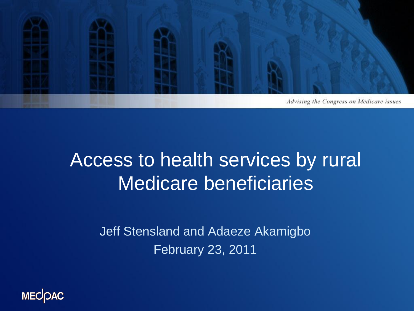

### Access to health services by rural Medicare beneficiaries

Jeff Stensland and Adaeze Akamigbo February 23, 2011

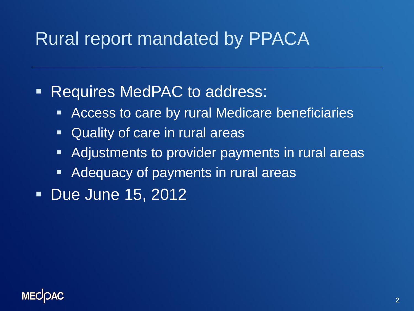### Rural report mandated by PPACA

### **Requires MedPAC to address:**

- Access to care by rural Medicare beneficiaries
- Quality of care in rural areas
- Adjustments to provider payments in rural areas
- **Adequacy of payments in rural areas**
- **Due June 15, 2012**

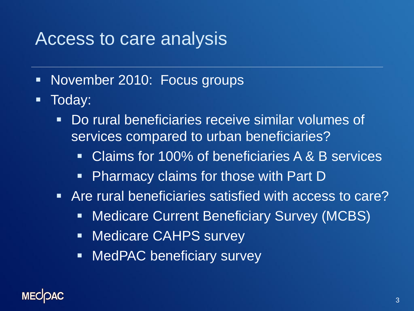### Access to care analysis

- November 2010: Focus groups
- **Today:** 
	- Do rural beneficiaries receive similar volumes of services compared to urban beneficiaries?
		- Claims for 100% of beneficiaries A & B services
		- Pharmacy claims for those with Part D
	- Are rural beneficiaries satisfied with access to care?
		- Medicare Current Beneficiary Survey (MCBS)
		- **Medicare CAHPS survey**
		- **NedPAC beneficiary survey**

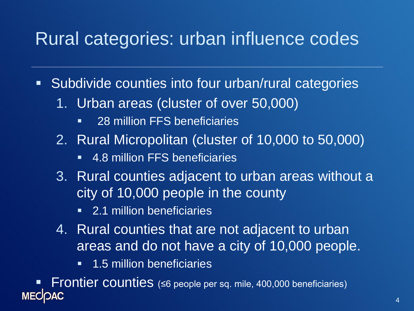### Rural categories: urban influence codes

- **Subdivide counties into four urban/rural categories** 
	- 1. Urban areas (cluster of over 50,000)
		- **28 million FFS beneficiaries**
	- 2. Rural Micropolitan (cluster of 10,000 to 50,000)
		- **4.8 million FFS beneficiaries**
	- 3. Rural counties adjacent to urban areas without a city of 10,000 people in the county
		- **2.1 million beneficiaries**
	- 4. Rural counties that are not adjacent to urban areas and do not have a city of 10,000 people.
		- **1.5 million beneficiaries**

Frontier counties (≤6 people per sq. mile, 400,000 beneficiaries)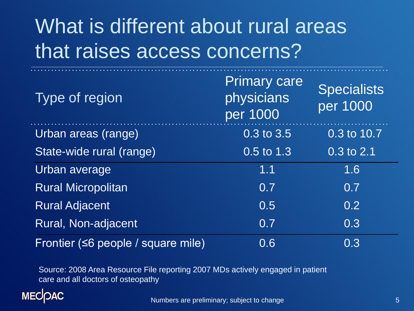# What is different about rural areas that raises access concerns?

| Type of region                     | <b>Primary care</b><br>physicians<br>per 1000 | <b>Specialists</b><br>per 1000 |
|------------------------------------|-----------------------------------------------|--------------------------------|
| Urban areas (range)                | 0.3 to 3.5                                    | 0.3 to 10.7                    |
| State-wide rural (range)           | 0.5 to 1.3                                    | 0.3 to 2.1                     |
| Urban average                      | 1.1                                           | 1.6                            |
| <b>Rural Micropolitan</b>          | 0.7                                           | 0.7                            |
| <b>Rural Adjacent</b>              | 0.5                                           | 0.2                            |
| Rural, Non-adjacent                | 0.7                                           | 0.3                            |
| Frontier (<6 people / square mile) | 0.6                                           | 0.3                            |

Source: 2008 Area Resource File reporting 2007 MDs actively engaged in patient care and all doctors of osteopathy

### **MECOAC**

Numbers are preliminary; subject to change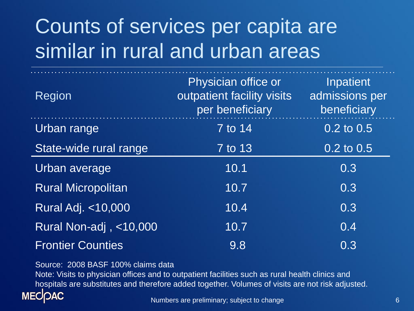# Counts of services per capita are similar in rural and urban areas

| Region                    | Physician office or<br>outpatient facility visits<br>per beneficiary | Inpatient<br>admissions per<br>beneficiary |
|---------------------------|----------------------------------------------------------------------|--------------------------------------------|
| Urban range               | 7 to 14                                                              | $0.2 \text{ to } 0.5$                      |
| State-wide rural range    | 7 to 13                                                              | $0.2$ to $0.5$                             |
| Urban average             | 10.1                                                                 | 0.3                                        |
| <b>Rural Micropolitan</b> | 10.7                                                                 | 0.3                                        |
| Rural Adj. <10,000        | 10.4                                                                 | 0.3                                        |
| Rural Non-adj, <10,000    | 10.7                                                                 | 0.4                                        |
| <b>Frontier Counties</b>  | 9.8                                                                  | 0.3                                        |

Source: 2008 BASF 100% claims data

Note: Visits to physician offices and to outpatient facilities such as rural health clinics and hospitals are substitutes and therefore added together. Volumes of visits are not risk adjusted.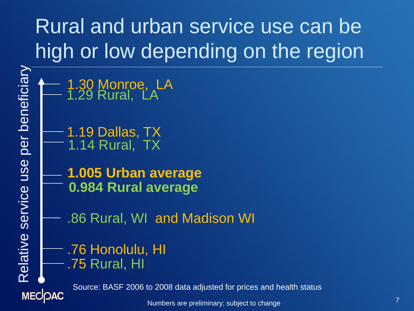# Rural and urban service use can be high or low depending on the region

Relative service use per beneficiary Relative service use per beneficiary

**MECOAC** 

1.30 Monroe, LA 1.29 Rural, LA

1.19 Dallas, TX  $-$  1.14 Rural, TX

**0.984 Rural average 1.005 Urban average**

.86 Rural, WI and Madison WI

.76 Honolulu, HI .75 Rural, HI

Source: BASF 2006 to 2008 data adjusted for prices and health status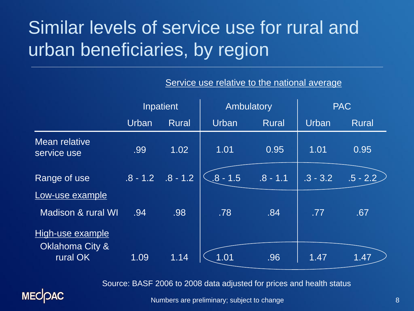## Similar levels of service use for rural and urban beneficiaries, by region

|                                     | Inpatient  |              | Ambulatory |              | <b>PAC</b> |              |
|-------------------------------------|------------|--------------|------------|--------------|------------|--------------|
|                                     | Urban      | <b>Rural</b> | Urban      | <b>Rural</b> | Urban      | <b>Rural</b> |
| Mean relative<br>service use        | .99        | 1.02         | 1.01       | 0.95         | 1.01       | 0.95         |
| Range of use                        | $.8 - 1.2$ | $.8 - 1.2$   | $.8 - 1.5$ | $.8 - 1.1$   | $.3 - 3.2$ | $.5 - 2.2$   |
| Low-use example                     |            |              |            |              |            |              |
| Madison & rural WI                  | .94        | .98          | .78        | .84          | .77        | .67          |
| High-use example<br>Oklahoma City & |            |              |            |              |            |              |
| rural OK                            | 1.09       | 1.14         | 1.01       | .96          | 1.47       | 1.47         |

#### Service use relative to the national average

Source: BASF 2006 to 2008 data adjusted for prices and health status

Numbers are preliminary; subject to change

**MECOAC**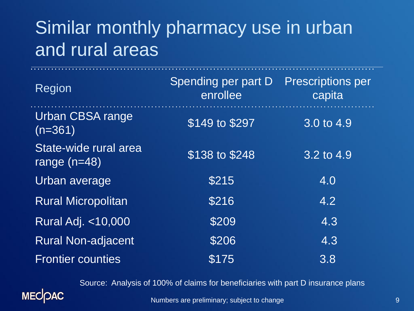## Similar monthly pharmacy use in urban and rural areas

. . . . . . . . . . . . . . .

| <b>Region</b>                           | Spending per part D<br>enrollee | <b>Prescriptions per</b><br>capita |
|-----------------------------------------|---------------------------------|------------------------------------|
| <b>Urban CBSA range</b><br>$(n=361)$    | \$149 to \$297                  | $3.0 \text{ to } 4.9$              |
| State-wide rural area<br>range $(n=48)$ | \$138 to \$248                  | $3.2$ to 4.9                       |
| Urban average                           | \$215                           | 4.0                                |
| <b>Rural Micropolitan</b>               | \$216                           | 4.2                                |
| <b>Rural Adj. &lt;10,000</b>            | \$209                           | 4.3                                |
| <b>Rural Non-adjacent</b>               | \$206                           | 4.3                                |
| <b>Frontier counties</b>                | \$175                           | 3.8                                |

Source: Analysis of 100% of claims for beneficiaries with part D insurance plans



Numbers are preliminary; subject to change

the company of the company of the company of the company of the company of the company of the company of the company of the company of the company of the company of the company of the company of the company of the company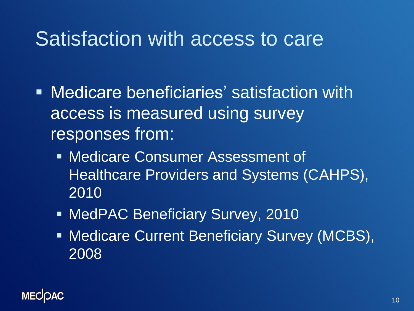## Satisfaction with access to care

- Medicare beneficiaries' satisfaction with access is measured using survey responses from:
	- Medicare Consumer Assessment of Healthcare Providers and Systems (CAHPS), 2010
	- **NedPAC Beneficiary Survey, 2010**
	- **Medicare Current Beneficiary Survey (MCBS),** 2008

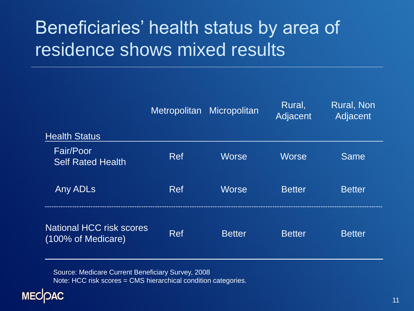## Beneficiaries' health status by area of residence shows mixed results

|                                                       | Metropolitan | Micropolitan  | Rural,<br>Adjacent | <b>Rural, Non</b><br>Adjacent |
|-------------------------------------------------------|--------------|---------------|--------------------|-------------------------------|
| <b>Health Status</b>                                  |              |               |                    |                               |
| Fair/Poor<br><b>Self Rated Health</b>                 | <b>Ref</b>   | <b>Worse</b>  | <b>Worse</b>       | Same                          |
| Any ADLs                                              | <b>Ref</b>   | <b>Worse</b>  | <b>Better</b>      | <b>Better</b>                 |
| <b>National HCC risk scores</b><br>(100% of Medicare) | Ref          | <b>Better</b> | <b>Better</b>      | <b>Better</b>                 |

Source: Medicare Current Beneficiary Survey, 2008 Note: HCC risk scores = CMS hierarchical condition categories.

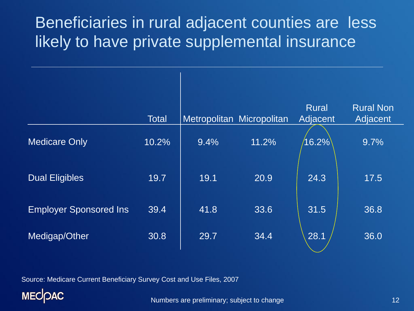### Beneficiaries in rural adjacent counties are less likely to have private supplemental insurance

|                               | <b>Total</b> | Metropolitan Micropolitan |       | <b>Rural</b><br>Adjacent | <b>Rural Non</b><br>Adjacent |
|-------------------------------|--------------|---------------------------|-------|--------------------------|------------------------------|
| <b>Medicare Only</b>          | 10.2%        | 9.4%                      | 11.2% | $16.2\%$                 | 9.7%                         |
| <b>Dual Eligibles</b>         | 19.7         | 19.1                      | 20.9  | 24.3                     | 17.5                         |
| <b>Employer Sponsored Ins</b> | 39.4         | 41.8                      | 33.6  | 31.5                     | 36.8                         |
| Medigap/Other                 | 30.8         | 29.7                      | 34.4  | 28.1                     | 36.0                         |

Source: Medicare Current Beneficiary Survey Cost and Use Files, 2007

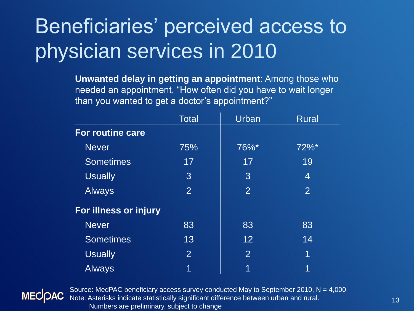# Beneficiaries' perceived access to physician services in 2010

**Unwanted delay in getting an appointment**: Among those who needed an appointment, "How often did you have to wait longer than you wanted to get a doctor's appointment?"

|                         | <b>Total</b>   | Urban          | <b>Rural</b>        |
|-------------------------|----------------|----------------|---------------------|
| <b>For routine care</b> |                |                |                     |
| <b>Never</b>            | 75%            | 76%*           | $72\%$ <sup>*</sup> |
| <b>Sometimes</b>        | 17             | 17             | 19                  |
| <b>Usually</b>          | 3              | 3              | 4                   |
| <b>Always</b>           | $\overline{2}$ | $\overline{2}$ | $\overline{2}$      |
| For illness or injury   |                |                |                     |
| <b>Never</b>            | 83             | 83             | 83                  |
| <b>Sometimes</b>        | 13             | 12             | 14                  |
| <b>Usually</b>          | $\overline{2}$ | $\overline{2}$ | 1                   |
| <b>Always</b>           | 1              | 1              | 1                   |



Source: MedPAC beneficiary access survey conducted May to September 2010,  $N = 4,000$ Note: Asterisks indicate statistically significant difference between urban and rural. Numbers are preliminary, subject to change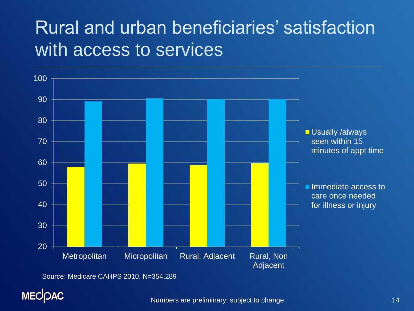### Rural and urban beneficiaries' satisfaction with access to services



Source: Medicare CAHPS 2010, N=354,289

### **MECOAC**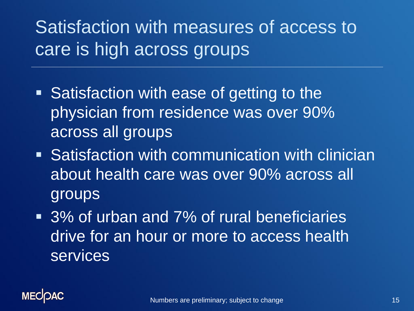Satisfaction with measures of access to care is high across groups

- Satisfaction with ease of getting to the physician from residence was over 90% across all groups
- **Satisfaction with communication with clinician** about health care was over 90% across all groups
- 3% of urban and 7% of rural beneficiaries drive for an hour or more to access health **services**

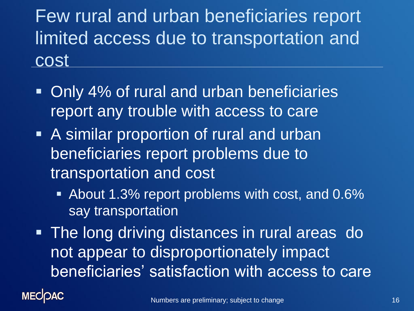Few rural and urban beneficiaries report limited access due to transportation and cost

- Only 4% of rural and urban beneficiaries report any trouble with access to care
- **A similar proportion of rural and urban** beneficiaries report problems due to transportation and cost
	- About 1.3% report problems with cost, and 0.6% say transportation
- **The long driving distances in rural areas do** not appear to disproportionately impact beneficiaries' satisfaction with access to care